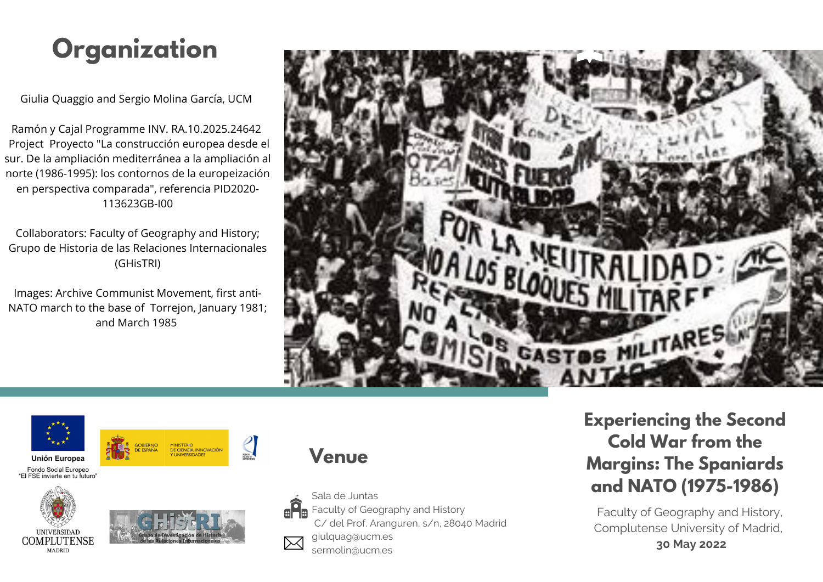# **Organization**

Giulia Quaggio and Sergio Molina García, UCM

Ramón y Cajal Programme INV. RA.10.2025.24642 Project Proyecto "La construcción europea desde el sur. De la ampliación mediterránea a la ampliación al norte (1986-1995): los contornos de la europeización en perspectiva comparada", referencia PID2020- 113623GB-I00

Collaborators: Faculty of Geography and History; Grupo de Historia de las Relaciones Internacionales (GHisTRI)

Images: Archive Communist Movement, first anti- NATO march to the base of Torrejon, January 1981; and March 1985





Unión Europea

Fondo Social Europeo "ELESE invierte en tu futuro"





 $\frac{2}{\pi}$ 



sermolin@ucm.es



# **Experiencing the Second Cold War from the Margins: The Spaniards and NATO (1975-1986)**

Faculty of Geography and History, Complutense University of Madrid,

**30 May 2022**